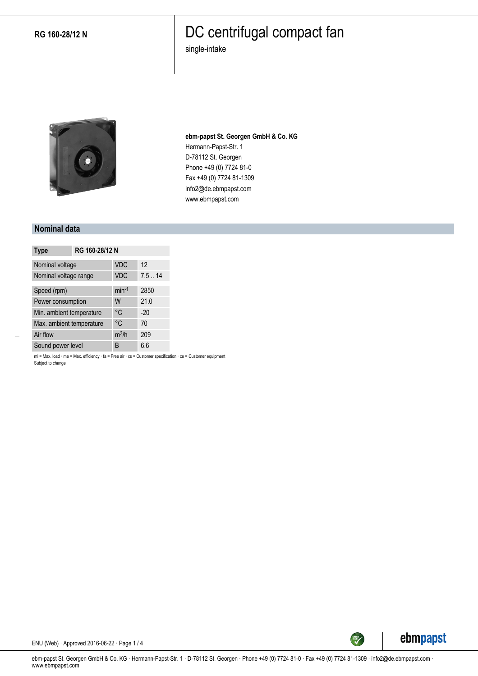**RG 160-28/12 N**

### DC centrifugal compact fan

single-intake



**ebm-papst St. Georgen GmbH & Co. KG** Hermann-Papst-Str. 1 D-78112 St. Georgen Phone +49 (0) 7724 81-0 Fax +49 (0) 7724 81-1309 info2@de.ebmpapst.com www.ebmpapst.com

#### **Nominal data**

| <b>Type</b>              | RG 160-28/12 N |            |       |
|--------------------------|----------------|------------|-------|
| Nominal voltage          |                | <b>VDC</b> | 12    |
| Nominal voltage range    |                | <b>VDC</b> | 7.514 |
| Speed (rpm)              |                | $min-1$    | 2850  |
| Power consumption        |                | W          | 21.0  |
| Min. ambient temperature |                | °C         | $-20$ |
| Max. ambient temperature |                | °C         | 70    |
| Air flow                 |                | $m^3/h$    | 209   |
| Sound power level        |                | B          | 6.6   |

ml = Max. load · me = Max. efficiency · fa = Free air · cs = Customer specification · ce = Customer equipment Subject to change



ENU (Web) · Approved 2016-06-22 · Page 1 / 4

ebm-papst St. Georgen GmbH & Co. KG · Hermann-Papst-Str. 1 · D-78112 St. Georgen · Phone +49 (0) 7724 81-0 · Fax +49 (0) 7724 81-1309 · info2@de.ebmpapst.com · www.ebmpapst.com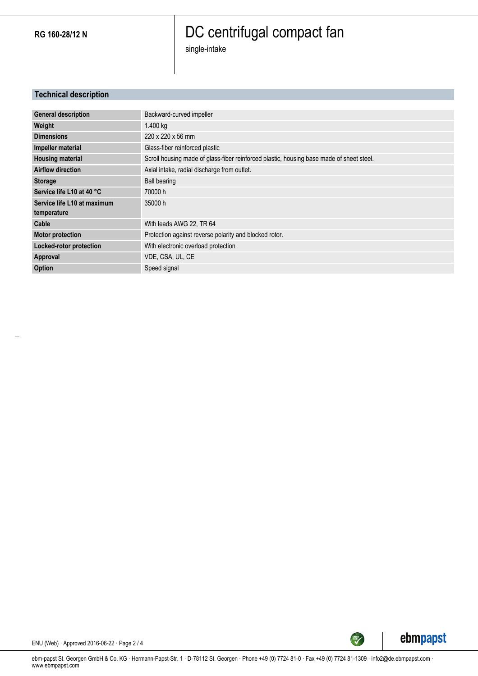**RG 160-28/12 N**

# DC centrifugal compact fan

single-intake

### **Technical description**

| <b>General description</b>  | Backward-curved impeller                                                                 |
|-----------------------------|------------------------------------------------------------------------------------------|
|                             |                                                                                          |
| Weight                      | 1.400 kg                                                                                 |
| <b>Dimensions</b>           | 220 x 220 x 56 mm                                                                        |
| Impeller material           | Glass-fiber reinforced plastic                                                           |
| <b>Housing material</b>     | Scroll housing made of glass-fiber reinforced plastic, housing base made of sheet steel. |
| <b>Airflow direction</b>    | Axial intake, radial discharge from outlet.                                              |
| <b>Storage</b>              | <b>Ball bearing</b>                                                                      |
| Service life L10 at 40 °C   | 70000 h                                                                                  |
| Service life L10 at maximum | 35000 h                                                                                  |
| temperature                 |                                                                                          |
| Cable                       | With leads AWG 22, TR 64                                                                 |
| <b>Motor protection</b>     | Protection against reverse polarity and blocked rotor.                                   |
| Locked-rotor protection     | With electronic overload protection                                                      |
| Approval                    | VDE, CSA, UL, CE                                                                         |
| Option                      | Speed signal                                                                             |



SREEN

ENU (Web) · Approved 2016-06-22 · Page 2 / 4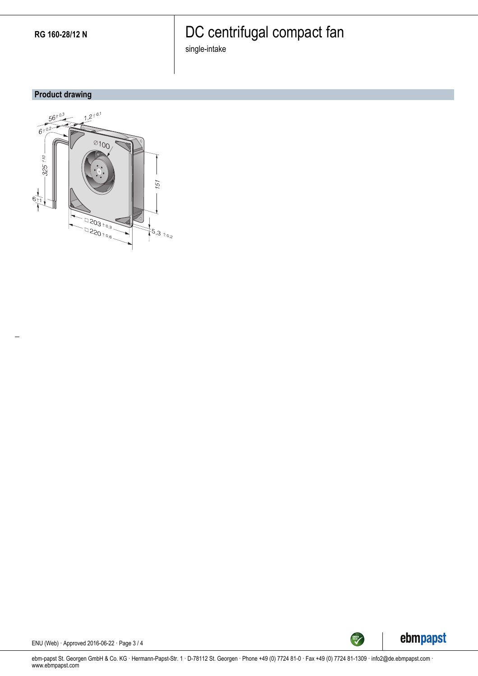# DC centrifugal compact fan

single-intake

### **Product drawing**





ENU (Web) · Approved 2016-06-22 · Page 3 / 4